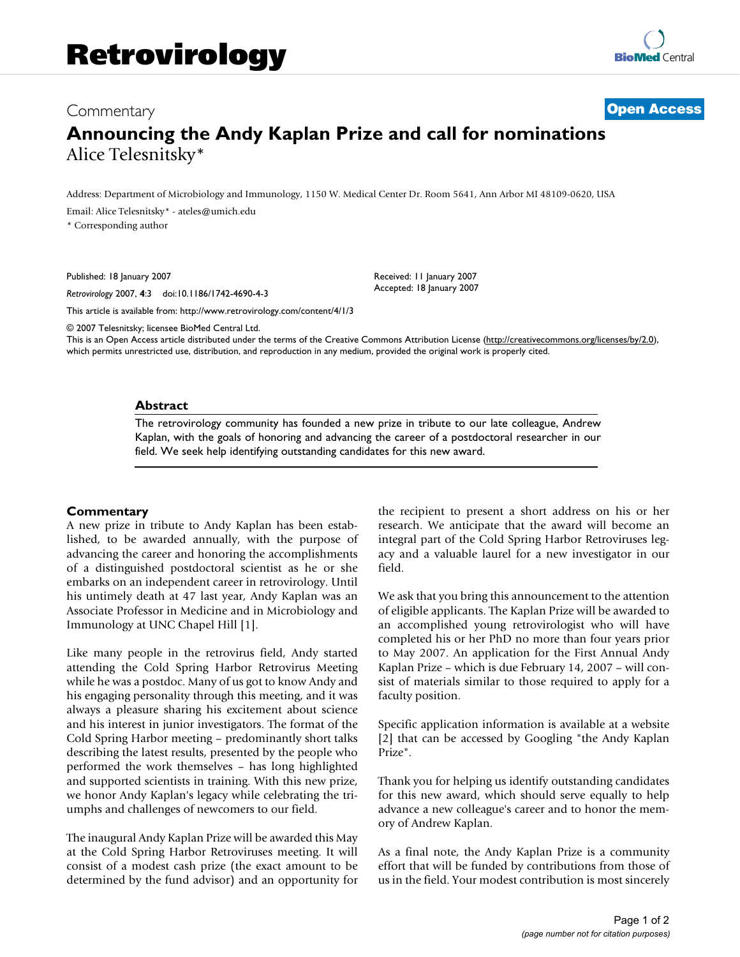# Commentary **[Open Access](http://www.biomedcentral.com/info/about/charter/) Announcing the Andy Kaplan Prize and call for nominations** Alice Telesnitsky\*

Address: Department of Microbiology and Immunology, 1150 W. Medical Center Dr. Room 5641, Ann Arbor MI 48109-0620, USA

Email: Alice Telesnitsky\* - ateles@umich.edu

\* Corresponding author

Published: 18 January 2007

*Retrovirology* 2007, **4**:3 doi:10.1186/1742-4690-4-3

[This article is available from: http://www.retrovirology.com/content/4/1/3](http://www.retrovirology.com/content/4/1/3)

© 2007 Telesnitsky; licensee BioMed Central Ltd.

This is an Open Access article distributed under the terms of the Creative Commons Attribution License [\(http://creativecommons.org/licenses/by/2.0\)](http://creativecommons.org/licenses/by/2.0), which permits unrestricted use, distribution, and reproduction in any medium, provided the original work is properly cited.

Received: 11 January 2007 Accepted: 18 January 2007

#### **Abstract**

The retrovirology community has founded a new prize in tribute to our late colleague, Andrew Kaplan, with the goals of honoring and advancing the career of a postdoctoral researcher in our field. We seek help identifying outstanding candidates for this new award.

### **Commentary**

A new prize in tribute to Andy Kaplan has been established, to be awarded annually, with the purpose of advancing the career and honoring the accomplishments of a distinguished postdoctoral scientist as he or she embarks on an independent career in retrovirology. Until his untimely death at 47 last year, Andy Kaplan was an Associate Professor in Medicine and in Microbiology and Immunology at UNC Chapel Hill [1].

Like many people in the retrovirus field, Andy started attending the Cold Spring Harbor Retrovirus Meeting while he was a postdoc. Many of us got to know Andy and his engaging personality through this meeting, and it was always a pleasure sharing his excitement about science and his interest in junior investigators. The format of the Cold Spring Harbor meeting – predominantly short talks describing the latest results, presented by the people who performed the work themselves – has long highlighted and supported scientists in training. With this new prize, we honor Andy Kaplan's legacy while celebrating the triumphs and challenges of newcomers to our field.

The inaugural Andy Kaplan Prize will be awarded this May at the Cold Spring Harbor Retroviruses meeting. It will consist of a modest cash prize (the exact amount to be determined by the fund advisor) and an opportunity for the recipient to present a short address on his or her research. We anticipate that the award will become an integral part of the Cold Spring Harbor Retroviruses legacy and a valuable laurel for a new investigator in our field.

We ask that you bring this announcement to the attention of eligible applicants. The Kaplan Prize will be awarded to an accomplished young retrovirologist who will have completed his or her PhD no more than four years prior to May 2007. An application for the First Annual Andy Kaplan Prize – which is due February 14, 2007 – will consist of materials similar to those required to apply for a faculty position.

Specific application information is available at a website [2] that can be accessed by Googling "the Andy Kaplan Prize".

Thank you for helping us identify outstanding candidates for this new award, which should serve equally to help advance a new colleague's career and to honor the memory of Andrew Kaplan.

As a final note, the Andy Kaplan Prize is a community effort that will be funded by contributions from those of us in the field. Your modest contribution is most sincerely